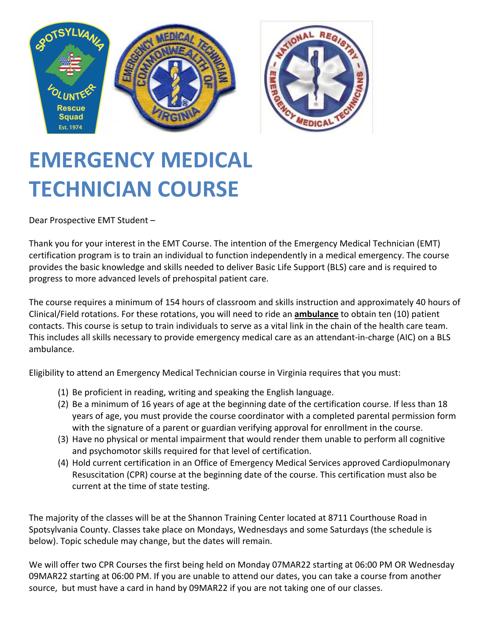

# **EMERGENCY MEDICAL TECHNICIAN COURSE**

Dear Prospective EMT Student –

Thank you for your interest in the EMT Course. The intention of the Emergency Medical Technician (EMT) certification program is to train an individual to function independently in a medical emergency. The course provides the basic knowledge and skills needed to deliver Basic Life Support (BLS) care and is required to progress to more advanced levels of prehospital patient care.

The course requires a minimum of 154 hours of classroom and skills instruction and approximately 40 hours of Clinical/Field rotations. For these rotations, you will need to ride an **ambulance** to obtain ten (10) patient contacts. This course is setup to train individuals to serve as a vital link in the chain of the health care team. This includes all skills necessary to provide emergency medical care as an attendant-in-charge (AIC) on a BLS ambulance.

Eligibility to attend an Emergency Medical Technician course in Virginia requires that you must:

- (1) Be proficient in reading, writing and speaking the English language.
- (2) Be a minimum of 16 years of age at the beginning date of the certification course. If less than 18 years of age, you must provide the course coordinator with a completed parental permission form with the signature of a parent or guardian verifying approval for enrollment in the course.
- (3) Have no physical or mental impairment that would render them unable to perform all cognitive and psychomotor skills required for that level of certification.
- (4) Hold current certification in an Office of Emergency Medical Services approved Cardiopulmonary Resuscitation (CPR) course at the beginning date of the course. This certification must also be current at the time of state testing.

The majority of the classes will be at the Shannon Training Center located at 8711 Courthouse Road in Spotsylvania County. Classes take place on Mondays, Wednesdays and some Saturdays (the schedule is below). Topic schedule may change, but the dates will remain.

We will offer two CPR Courses the first being held on Monday 07MAR22 starting at 06:00 PM OR Wednesday 09MAR22 starting at 06:00 PM. If you are unable to attend our dates, you can take a course from another source, but must have a card in hand by 09MAR22 if you are not taking one of our classes.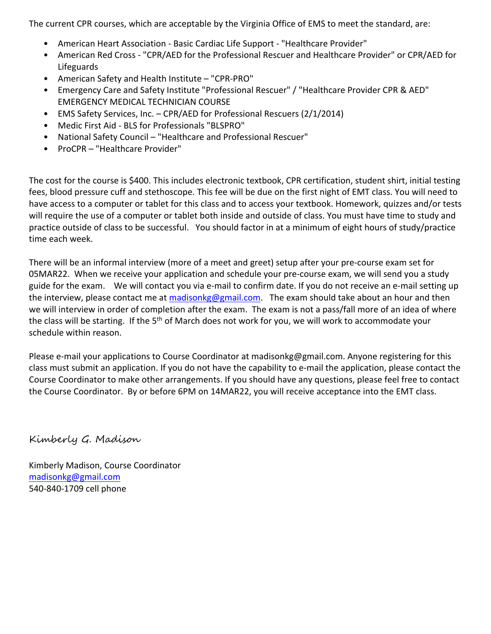The current CPR courses, which are acceptable by the Virginia Office of EMS to meet the standard, are:

- American Heart Association Basic Cardiac Life Support "Healthcare Provider"
- American Red Cross "CPR/AED for the Professional Rescuer and Healthcare Provider" or CPR/AED for Lifeguards
- American Safety and Health Institute "CPR-PRO"
- Emergency Care and Safety Institute "Professional Rescuer" / "Healthcare Provider CPR & AED" EMERGENCY MEDICAL TECHNICIAN COURSE
- EMS Safety Services, Inc. CPR/AED for Professional Rescuers (2/1/2014)
- Medic First Aid BLS for Professionals "BLSPRO"
- National Safety Council "Healthcare and Professional Rescuer"
- ProCPR "Healthcare Provider"

The cost for the course is \$400. This includes electronic textbook, CPR certification, student shirt, initial testing fees, blood pressure cuff and stethoscope. This fee will be due on the first night of EMT class. You will need to have access to a computer or tablet for this class and to access your textbook. Homework, quizzes and/or tests will require the use of a computer or tablet both inside and outside of class. You must have time to study and practice outside of class to be successful. You should factor in at a minimum of eight hours of study/practice time each week.

There will be an informal interview (more of a meet and greet) setup after your pre-course exam set for 05MAR22. When we receive your application and schedule your pre-course exam, we will send you a study guide for the exam. We will contact you via e-mail to confirm date. If you do not receive an e-mail setting up the interview, please contact me at madisonkg@gmail.com. The exam should take about an hour and then we will interview in order of completion after the exam. The exam is not a pass/fall more of an idea of where the class will be starting. If the 5<sup>th</sup> of March does not work for you, we will work to accommodate your schedule within reason.

Please e-mail your applications to Course Coordinator at madisonkg@gmail.com. Anyone registering for this class must submit an application. If you do not have the capability to e-mail the application, please contact the Course Coordinator to make other arrangements. If you should have any questions, please feel free to contact the Course Coordinator. By or before 6PM on 14MAR22, you will receive acceptance into the EMT class.

Kimberly G. Madison

Kimberly Madison, Course Coordinator madisonkg@gmail.com 540-840-1709 cell phone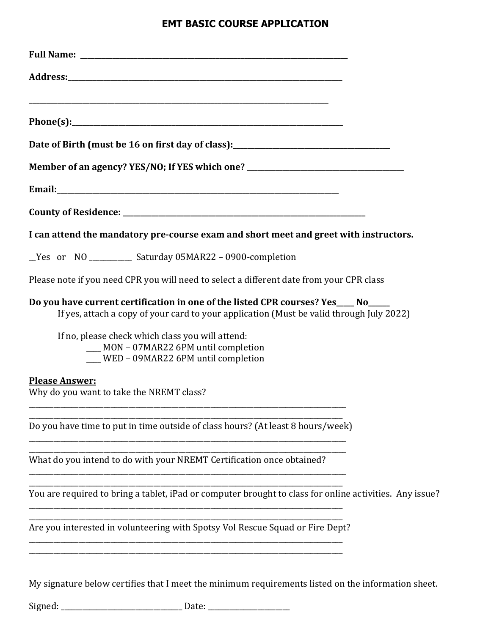### **EMT BASIC COURSE APPLICATION**

| Member of an agency? YES/NO; If YES which one? _________________________________                                                                                               |
|--------------------------------------------------------------------------------------------------------------------------------------------------------------------------------|
|                                                                                                                                                                                |
|                                                                                                                                                                                |
| I can attend the mandatory pre-course exam and short meet and greet with instructors.                                                                                          |
| _Yes or NO _________ Saturday 05MAR22 - 0900-completion                                                                                                                        |
| Please note if you need CPR you will need to select a different date from your CPR class                                                                                       |
| Do you have current certification in one of the listed CPR courses? Yes____ No____<br>If yes, attach a copy of your card to your application (Must be valid through July 2022) |
| If no, please check which class you will attend:<br>__ MON - 07MAR22 6PM until completion<br>__ WED - 09MAR22 6PM until completion                                             |
| <b>Please Answer:</b><br>Why do you want to take the NREMT class?                                                                                                              |
| Do you have time to put in time outside of class hours? (At least 8 hours/week)                                                                                                |
| What do you intend to do with your NREMT Certification once obtained?                                                                                                          |
| You are required to bring a tablet, iPad or computer brought to class for online activities. Any issue?                                                                        |
| Are you interested in volunteering with Spotsy Vol Rescue Squad or Fire Dept?                                                                                                  |
| My signature below certifies that I meet the minimum requirements listed on the information sheet.                                                                             |

Signed: \_\_\_\_\_\_\_\_\_\_\_\_\_\_\_\_\_\_\_\_\_\_\_\_\_\_\_\_\_\_\_\_\_\_ Date: \_\_\_\_\_\_\_\_\_\_\_\_\_\_\_\_\_\_\_\_\_\_\_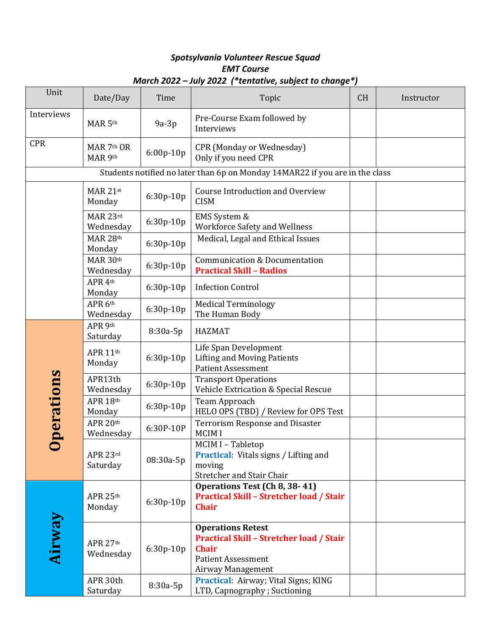#### *Spotsylvania Volunteer Rescue Squad EMT Course March 2022 – July 2022 (\*tentative, subject to change\*)*

| Unit       | Date/Day                                                                     | Time        | Topic                                                                                                                                         | <b>CH</b> | Instructor |  |  |  |
|------------|------------------------------------------------------------------------------|-------------|-----------------------------------------------------------------------------------------------------------------------------------------------|-----------|------------|--|--|--|
| Interviews | MAR 5th                                                                      | $9a-3p$     | Pre-Course Exam followed by<br>Interviews                                                                                                     |           |            |  |  |  |
| <b>CPR</b> | MAR 7th OR<br>MAR 9th                                                        | 6:00p-10p   | <b>CPR (Monday or Wednesday)</b><br>Only if you need CPR                                                                                      |           |            |  |  |  |
|            | Students notified no later than 6p on Monday 14MAR22 if you are in the class |             |                                                                                                                                               |           |            |  |  |  |
|            | MAR 21st<br>Monday                                                           | 6:30p-10p   | <b>Course Introduction and Overview</b><br><b>CISM</b>                                                                                        |           |            |  |  |  |
|            | MAR 23rd<br>Wednesday                                                        | 6:30p-10p   | EMS System &<br><b>Workforce Safety and Wellness</b>                                                                                          |           |            |  |  |  |
|            | MAR 28th<br>Monday                                                           | 6:30p-10p   | Medical, Legal and Ethical Issues                                                                                                             |           |            |  |  |  |
|            | MAR 30th<br>Wednesday                                                        | $6:30p-10p$ | <b>Communication &amp; Documentation</b><br><b>Practical Skill - Radios</b>                                                                   |           |            |  |  |  |
|            | APR 4th<br>Monday                                                            | 6:30p-10p   | <b>Infection Control</b>                                                                                                                      |           |            |  |  |  |
|            | APR 6th<br>Wednesday                                                         | $6:30p-10p$ | <b>Medical Terminology</b><br>The Human Body                                                                                                  |           |            |  |  |  |
|            | APR 9th<br>Saturday                                                          | 8:30a-5p    | <b>HAZMAT</b>                                                                                                                                 |           |            |  |  |  |
| perations  | APR 11th<br>Monday                                                           | 6:30p-10p   | Life Span Development<br><b>Lifting and Moving Patients</b><br><b>Patient Assessment</b>                                                      |           |            |  |  |  |
|            | APR13th<br>Wednesday                                                         | 6:30p-10p   | <b>Transport Operations</b><br>Vehicle Extrication & Special Rescue                                                                           |           |            |  |  |  |
|            | APR 18th<br>Monday                                                           | 6:30p-10p   | Team Approach<br>HELO OPS (TBD) / Review for OPS Test                                                                                         |           |            |  |  |  |
|            | APR 20th<br>Wednesday                                                        | 6:30P-10P   | <b>Terrorism Response and Disaster</b><br><b>MCIMI</b>                                                                                        |           |            |  |  |  |
|            | APR 23rd<br>Saturday                                                         | 08:30a-5p   | MCIM I - Tabletop<br><b>Practical:</b> Vitals signs / Lifting and<br>moving<br>Stretcher and Stair Chair                                      |           |            |  |  |  |
| Airway     | APR 25th<br>Monday                                                           | 6:30p-10p   | Operations Test (Ch 8, 38-41)<br><b>Practical Skill - Stretcher load / Stair</b><br><b>Chair</b>                                              |           |            |  |  |  |
|            | APR 27th<br>Wednesday                                                        | 6:30p-10p   | <b>Operations Retest</b><br><b>Practical Skill - Stretcher load / Stair</b><br><b>Chair</b><br><b>Patient Assessment</b><br>Airway Management |           |            |  |  |  |
|            | APR 30th<br>Saturday                                                         | 8:30a-5p    | <b>Practical:</b> Airway; Vital Signs; KING<br>LTD, Capnography ; Suctioning                                                                  |           |            |  |  |  |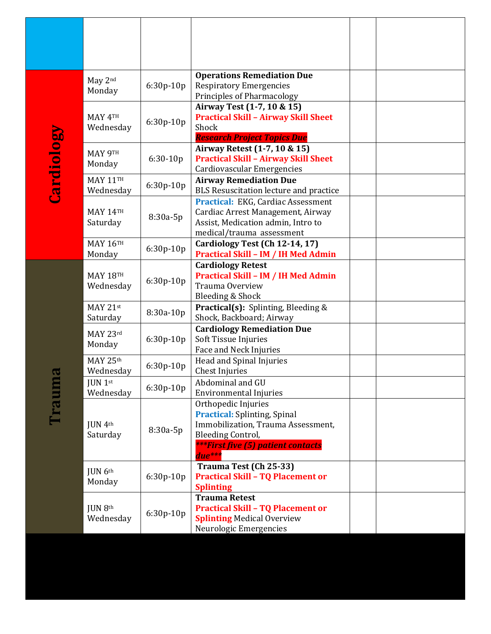| <b>Cardiology</b> | May 2nd<br>Monday            | 6:30p-10p   | <b>Operations Remediation Due</b><br><b>Respiratory Emergencies</b><br>Principles of Pharmacology                                                                            |  |
|-------------------|------------------------------|-------------|------------------------------------------------------------------------------------------------------------------------------------------------------------------------------|--|
|                   | MAY 4TH<br>Wednesday         | 6:30p-10p   | Airway Test (1-7, 10 & 15)<br><b>Practical Skill - Airway Skill Sheet</b><br>Shock<br><b>Research Project Topics Due</b>                                                     |  |
|                   | <b>МАҮ 9TH</b><br>Monday     | $6:30-10p$  | Airway Retest (1-7, 10 & 15)<br><b>Practical Skill - Airway Skill Sheet</b><br><b>Cardiovascular Emergencies</b>                                                             |  |
|                   | <b>MAY 11TH</b><br>Wednesday | 6:30p-10p   | <b>Airway Remediation Due</b><br>BLS Resuscitation lecture and practice                                                                                                      |  |
|                   | <b>MAY 14TH</b><br>Saturday  | 8:30a-5p    | Practical: EKG, Cardiac Assessment<br>Cardiac Arrest Management, Airway<br>Assist, Medication admin, Intro to<br>medical/trauma assessment                                   |  |
|                   | <b>MAY 16TH</b><br>Monday    | 6:30p-10p   | Cardiology Test (Ch 12-14, 17)<br><b>Practical Skill - IM / IH Med Admin</b>                                                                                                 |  |
|                   | <b>MAY 18TH</b><br>Wednesday | 6:30p-10p   | <b>Cardiology Retest</b><br><b>Practical Skill - IM / IH Med Admin</b><br>Trauma Overview<br>Bleeding & Shock                                                                |  |
|                   | MAY 21st<br>Saturday         | 8:30a-10p   | <b>Practical(s):</b> Splinting, Bleeding &<br>Shock, Backboard; Airway                                                                                                       |  |
|                   | MAY 23rd<br>Monday           | $6:30p-10p$ | <b>Cardiology Remediation Due</b><br>Soft Tissue Injuries<br>Face and Neck Injuries                                                                                          |  |
| $\sigma$          | MAY 25th<br>Wednesday        | 6:30p-10p   | Head and Spinal Injuries<br><b>Chest Injuries</b>                                                                                                                            |  |
| <b>Caum</b>       | <b>JUN</b> 1st<br>Wednesday  | 6:30p-10p   | Abdominal and GU<br><b>Environmental Injuries</b>                                                                                                                            |  |
|                   | JUN 4th<br>Saturday          | 8:30a-5p    | Orthopedic Injuries<br><b>Practical:</b> Splinting, Spinal<br>Immobilization, Trauma Assessment,<br>Bleeding Control,<br><b>***First five (5) patient contacts</b><br>due*** |  |
|                   | JUN 6th<br>Monday            | 6:30p-10p   | Trauma Test (Ch 25-33)<br><b>Practical Skill - TQ Placement or</b><br><b>Splinting</b>                                                                                       |  |
|                   | JUN 8th<br>Wednesday         | 6:30p-10p   | <b>Trauma Retest</b><br><b>Practical Skill - TQ Placement or</b><br><b>Splinting Medical Overview</b><br>Neurologic Emergencies                                              |  |
|                   |                              |             |                                                                                                                                                                              |  |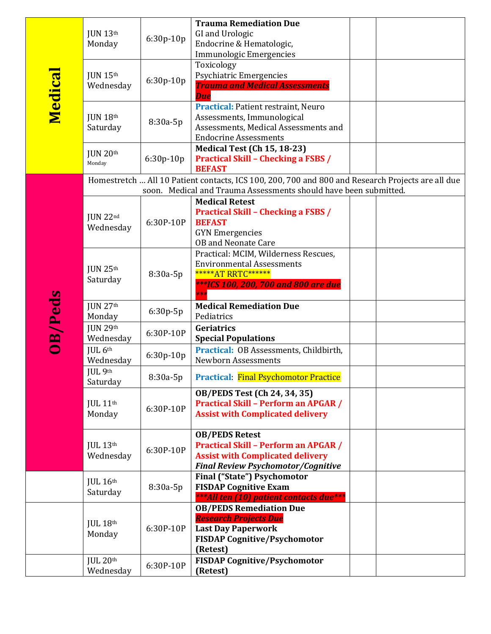| Medica  | JUN 13 <sup>th</sup><br>Monday      | 6:30p-10p  | <b>Trauma Remediation Due</b><br>GI and Urologic<br>Endocrine & Hematologic,                                                                                 |  |
|---------|-------------------------------------|------------|--------------------------------------------------------------------------------------------------------------------------------------------------------------|--|
|         | <b>JUN 15th</b><br>Wednesday        | 6:30p-10p  | <b>Immunologic Emergencies</b><br>Toxicology<br>Psychiatric Emergencies<br><b>Trauma and Medical Assessments</b><br><b>Due</b>                               |  |
|         | JUN 18 <sup>th</sup><br>Saturday    | 8:30a-5p   | <b>Practical: Patient restraint, Neuro</b><br>Assessments, Immunological<br>Assessments, Medical Assessments and<br><b>Endocrine Assessments</b>             |  |
|         | JUN 20th<br>Monday                  | 6:30p-10p  | <b>Medical Test (Ch 15, 18-23)</b><br><b>Practical Skill - Checking a FSBS /</b><br><b>BEFAST</b>                                                            |  |
|         |                                     |            | Homestretch  All 10 Patient contacts, ICS 100, 200, 700 and 800 and Research Projects are all due                                                            |  |
|         |                                     |            | soon. Medical and Trauma Assessments should have been submitted.                                                                                             |  |
| OB/Peds | JUN 22nd<br>Wednesday               | 6:30P-10P  | <b>Medical Retest</b><br><b>Practical Skill - Checking a FSBS /</b><br><b>BEFAST</b><br><b>GYN</b> Emergencies<br><b>OB</b> and Neonate Care                 |  |
|         | JUN 25 <sup>th</sup><br>Saturday    | 8:30a-5p   | Practical: MCIM, Wilderness Rescues,<br><b>Environmental Assessments</b><br>*****AT RRTC******<br>***ICS 100, 200, 700 and 800 are due<br>$**$               |  |
|         | JUN 27 <sup>th</sup><br>Monday      | $6:30p-5p$ | <b>Medical Remediation Due</b><br>Pediatrics                                                                                                                 |  |
|         | JUN 29th<br>Wednesday               | 6:30P-10P  | Geriatrics<br><b>Special Populations</b>                                                                                                                     |  |
|         | JUL <sub>6th</sub><br>Wednesday     | 6:30p-10p  | Practical: OB Assessments, Childbirth,<br><b>Newborn Assessments</b>                                                                                         |  |
|         | JUL 9th<br>Saturday                 | 8:30a-5p   | <b>Practical: Final Psychomotor Practice</b>                                                                                                                 |  |
|         | JUL 11th<br>Monday                  | 6:30P-10P  | OB/PEDS Test (Ch 24, 34, 35)<br><b>Practical Skill - Perform an APGAR /</b><br><b>Assist with Complicated delivery</b>                                       |  |
|         | $JUL$ 13 <sup>th</sup><br>Wednesday | 6:30P-10P  | <b>OB/PEDS Retest</b><br><b>Practical Skill - Perform an APGAR /</b><br><b>Assist with Complicated delivery</b><br><b>Final Review Psychomotor/Cognitive</b> |  |
|         | JUL 16 <sup>th</sup><br>Saturday    | 8:30a-5p   | <b>Final ("State") Psychomotor</b><br><b>FISDAP Cognitive Exam</b><br>*** All ten (10) patient contacts due***                                               |  |
|         | $JUL$ $18th$<br>Monday              | 6:30P-10P  | <b>OB/PEDS Remediation Due</b><br><b>Research Projects Due</b><br><b>Last Day Paperwork</b><br><b>FISDAP Cognitive/Psychomotor</b><br>(Retest)               |  |
|         | $JUL$ $20th$<br>Wednesday           | 6:30P-10P  | <b>FISDAP Cognitive/Psychomotor</b><br>(Retest)                                                                                                              |  |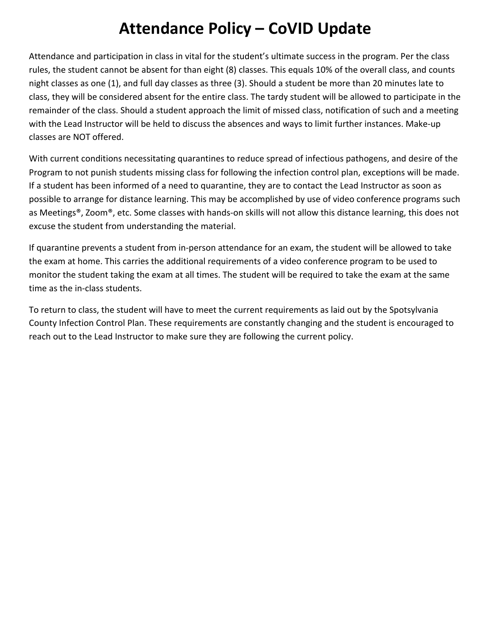### **Attendance Policy – CoVID Update**

Attendance and participation in class in vital for the student's ultimate success in the program. Per the class rules, the student cannot be absent for than eight (8) classes. This equals 10% of the overall class, and counts night classes as one (1), and full day classes as three (3). Should a student be more than 20 minutes late to class, they will be considered absent for the entire class. The tardy student will be allowed to participate in the remainder of the class. Should a student approach the limit of missed class, notification of such and a meeting with the Lead Instructor will be held to discuss the absences and ways to limit further instances. Make-up classes are NOT offered.

With current conditions necessitating quarantines to reduce spread of infectious pathogens, and desire of the Program to not punish students missing class for following the infection control plan, exceptions will be made. If a student has been informed of a need to quarantine, they are to contact the Lead Instructor as soon as possible to arrange for distance learning. This may be accomplished by use of video conference programs such as Meetings®, Zoom®, etc. Some classes with hands-on skills will not allow this distance learning, this does not excuse the student from understanding the material.

If quarantine prevents a student from in-person attendance for an exam, the student will be allowed to take the exam at home. This carries the additional requirements of a video conference program to be used to monitor the student taking the exam at all times. The student will be required to take the exam at the same time as the in-class students.

To return to class, the student will have to meet the current requirements as laid out by the Spotsylvania County Infection Control Plan. These requirements are constantly changing and the student is encouraged to reach out to the Lead Instructor to make sure they are following the current policy.